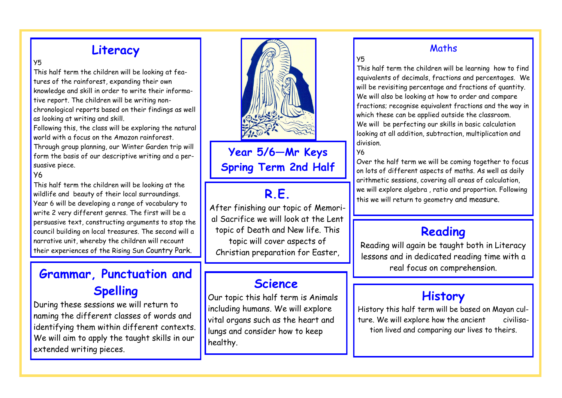### **Literacy**

#### $\sqrt{5}$

This half term the children will be looking at features of the rainforest, expanding their own knowledge and skill in order to write their informative report. The children will be writing nonchronological reports based on their findings as well as looking at writing and skill.

Following this, the class will be exploring the natural world with a focus on the Amazon rainforest. Through group planning, our Winter Garden trip will form the basis of our descriptive writing and a persuasive piece.

#### $y_6$

This half term the children will be looking at the wildlife and beauty of their local surroundings. Year 6 will be developing a range of vocabulary to write 2 very different genres. The first will be a persuasive text, constructing arguments to stop the council building on local treasures. The second will a narrative unit, whereby the children will recount their experiences of the Rising Sun Country Park.

## **Grammar, Punctuation and** <br> **Grammar, Punctuation and Spelling**

During these sessions we will return to naming the different classes of words and identifying them within different contexts. We will aim to apply the taught skills in our extended writing pieces.



**Year 5/6—Mr Keys Spring Term 2nd Half**

### **R.E.**

After finishing our topic of Memorial Sacrifice we will look at the Lent topic of Death and New life. This topic will cover aspects of Christian preparation for Easter,

#### **Science**

Our topic this half term is Animals including humans. We will explore vital organs such as the heart and lungs and consider how to keep healthy.

#### Maths

#### Y5

This half term the children will be learning how to find equivalents of decimals, fractions and percentages. We will be revisiting percentage and fractions of quantity. We will also be looking at how to order and compare fractions; recognise equivalent fractions and the way in which these can be applied outside the classroom. We will be perfecting our skills in basic calculation looking at all addition, subtraction, multiplication and division.

#### Y6

Over the half term we will be coming together to focus on lots of different aspects of maths. As well as daily arithmetic sessions, covering all areas of calculation, we will explore algebra , ratio and proportion. Following this we will return to geometry and measure.

#### **Reading**

Reading will again be taught both in Literacy lessons and in dedicated reading time with a

### **History**

History this half term will be based on Mayan culture. We will explore how the ancient civilisation lived and comparing our lives to theirs.